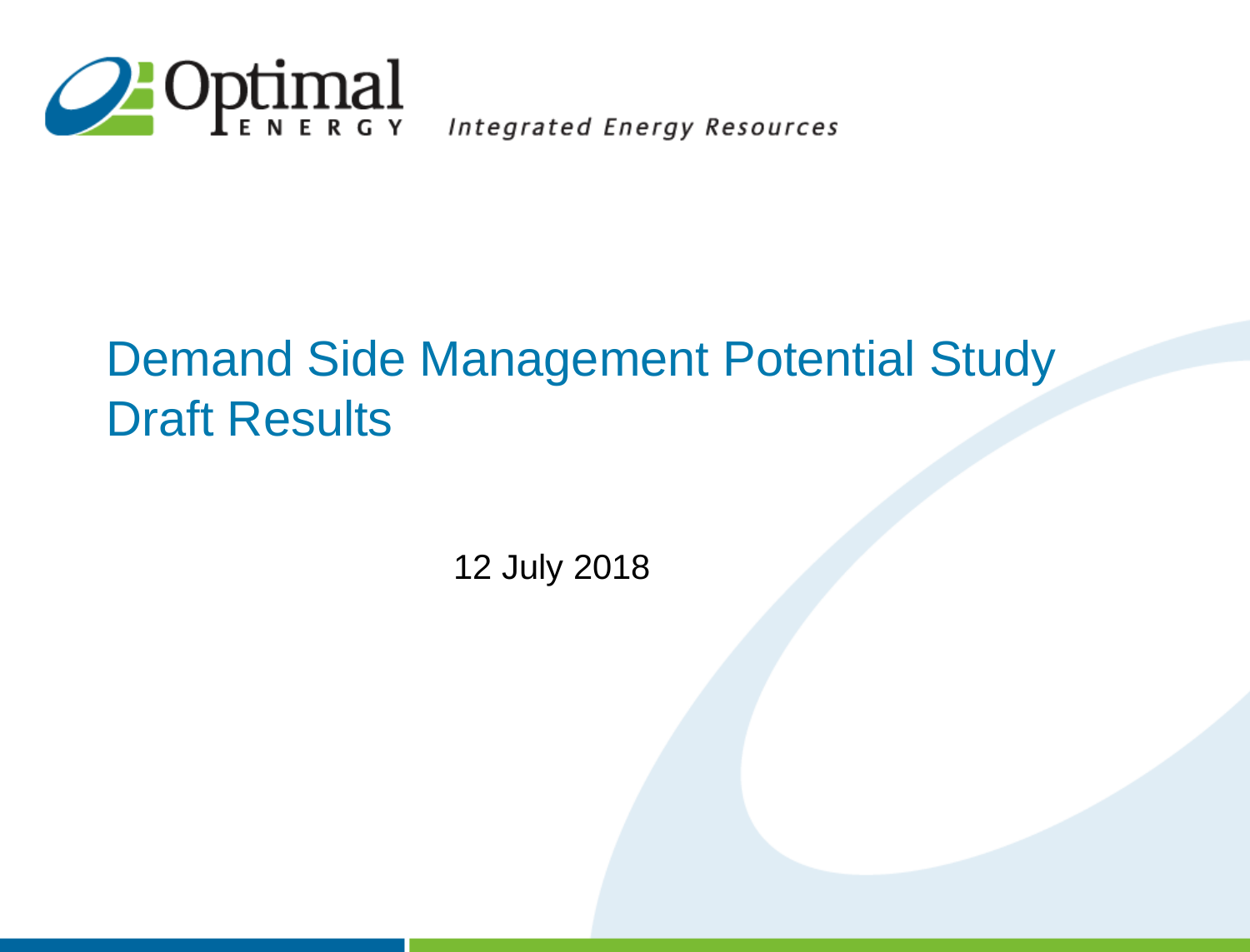

Integrated Energy Resources

#### Demand Side Management Potential Study Draft Results

12 July 2018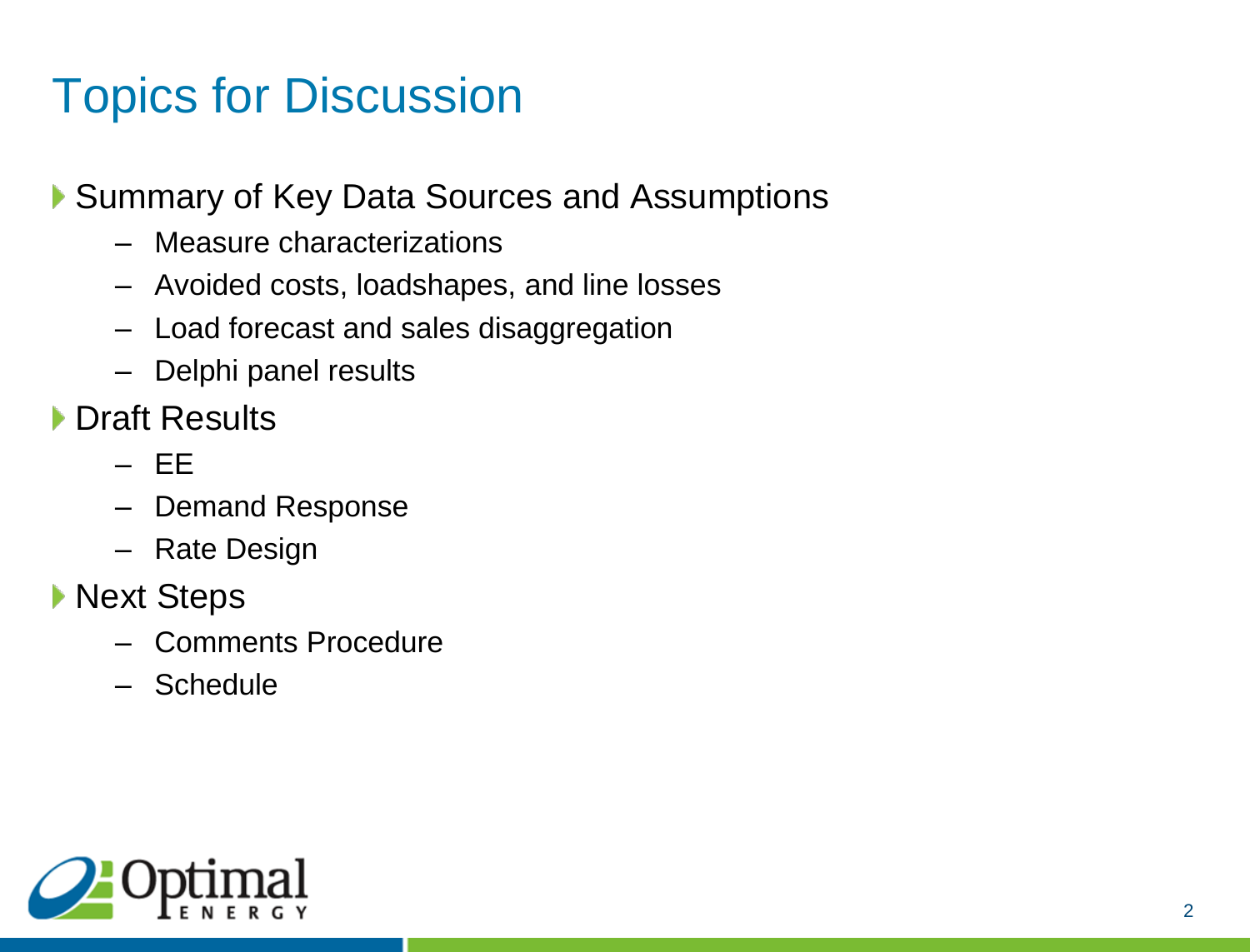# Topics for Discussion

▶ Summary of Key Data Sources and Assumptions

- Measure characterizations
- Avoided costs, loadshapes, and line losses
- Load forecast and sales disaggregation
- Delphi panel results
- ▶ Draft Results
	- EE
	- Demand Response
	- Rate Design
- ▶ Next Steps
	- Comments Procedure
	- Schedule

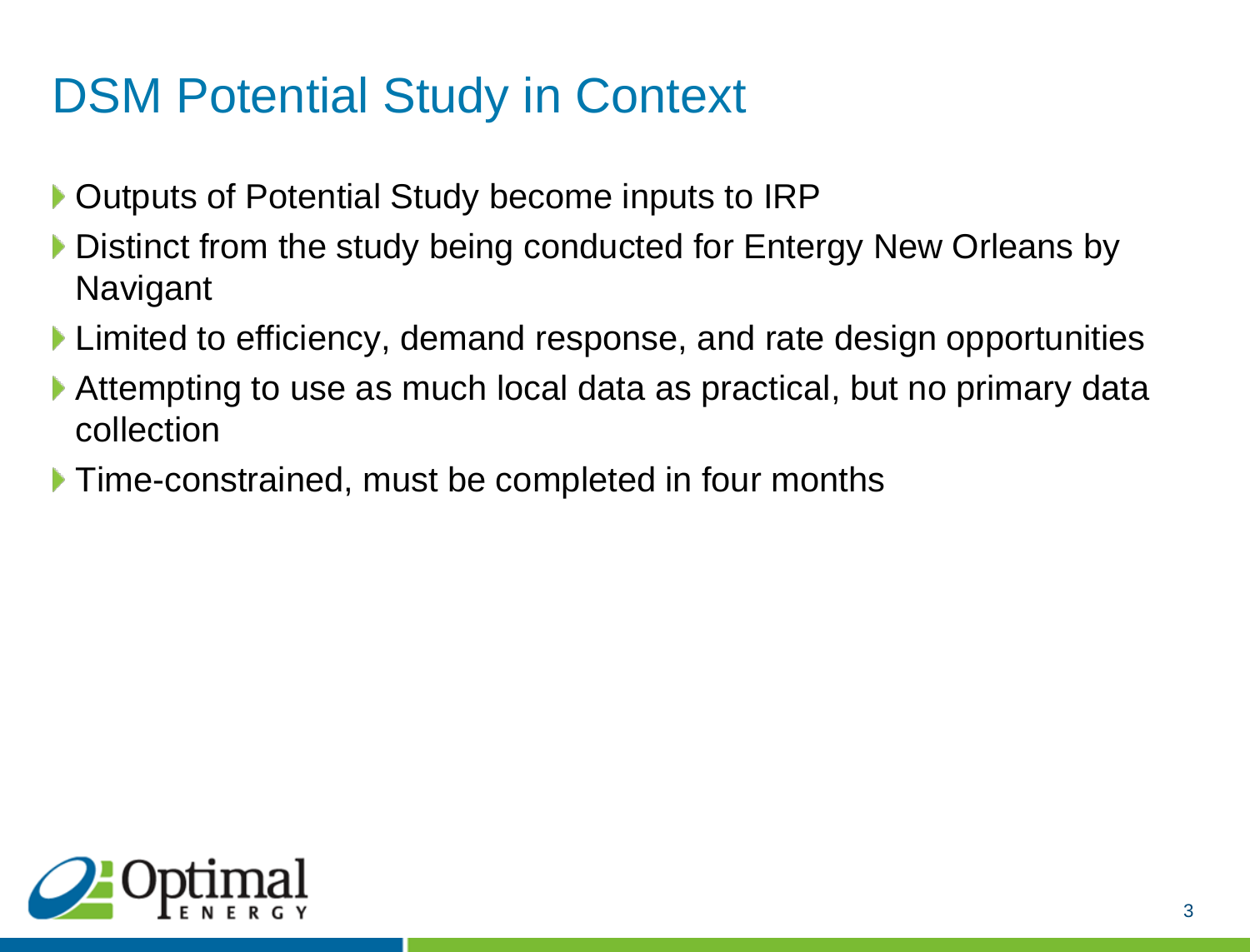# DSM Potential Study in Context

- ▶ Outputs of Potential Study become inputs to IRP
- Distinct from the study being conducted for Entergy New Orleans by **Navigant**
- **Limited to efficiency, demand response, and rate design opportunities**
- Attempting to use as much local data as practical, but no primary data collection
- **Time-constrained, must be completed in four months**

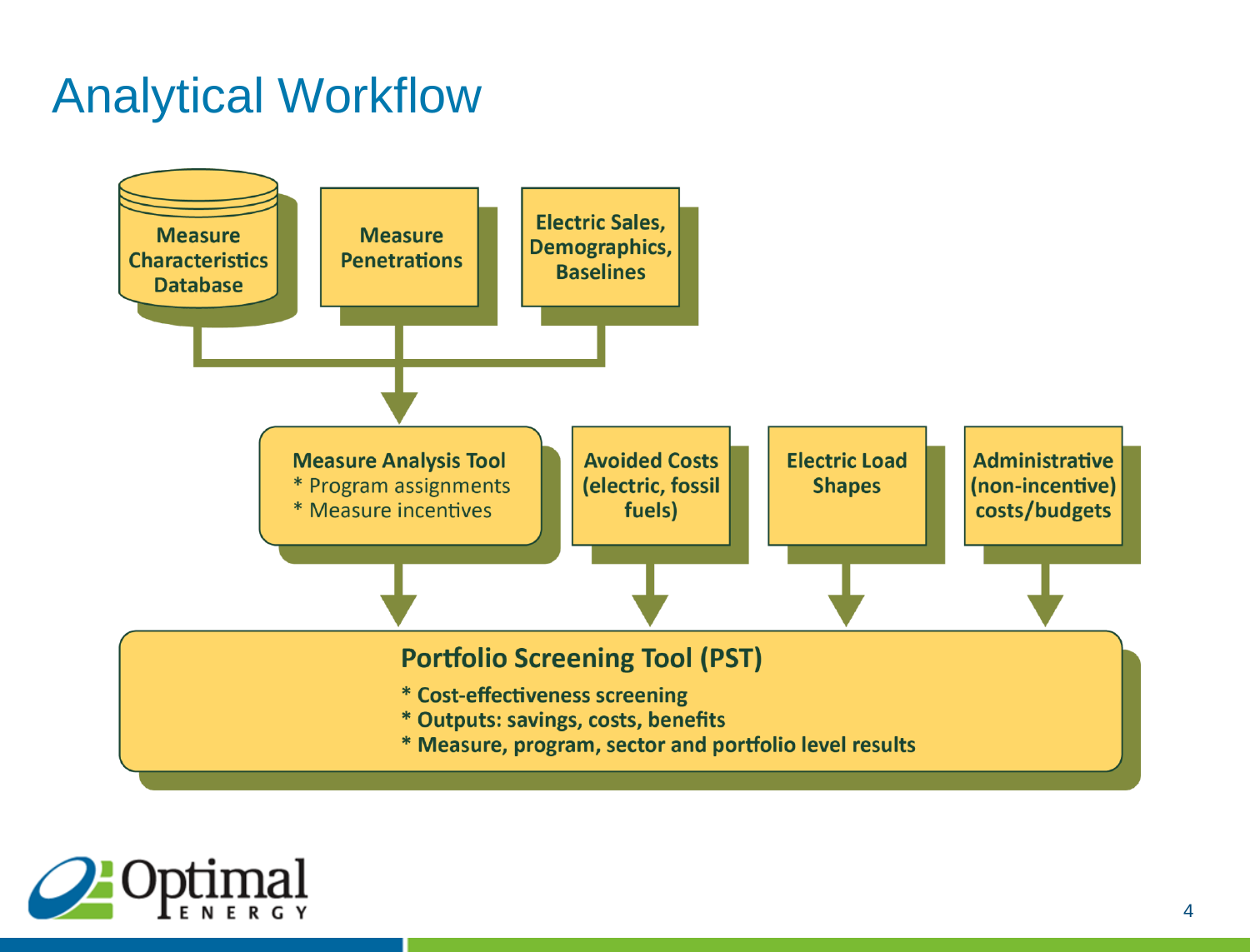## Analytical Workflow



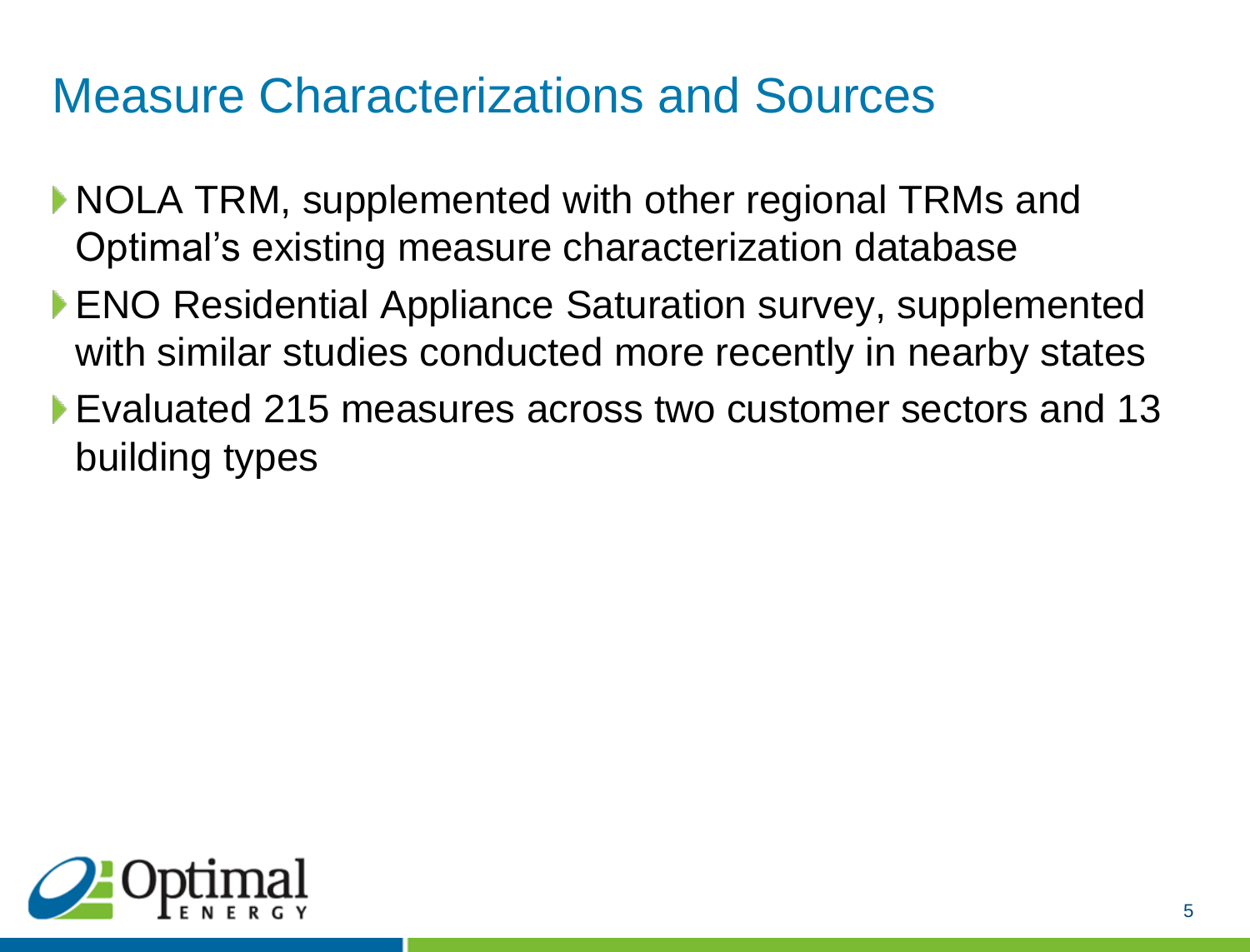#### Measure Characterizations and Sources

- ▶ NOLA TRM, supplemented with other regional TRMs and Optimal's existing measure characterization database
- ▶ ENO Residential Appliance Saturation survey, supplemented with similar studies conducted more recently in nearby states
- Evaluated 215 measures across two customer sectors and 13 building types

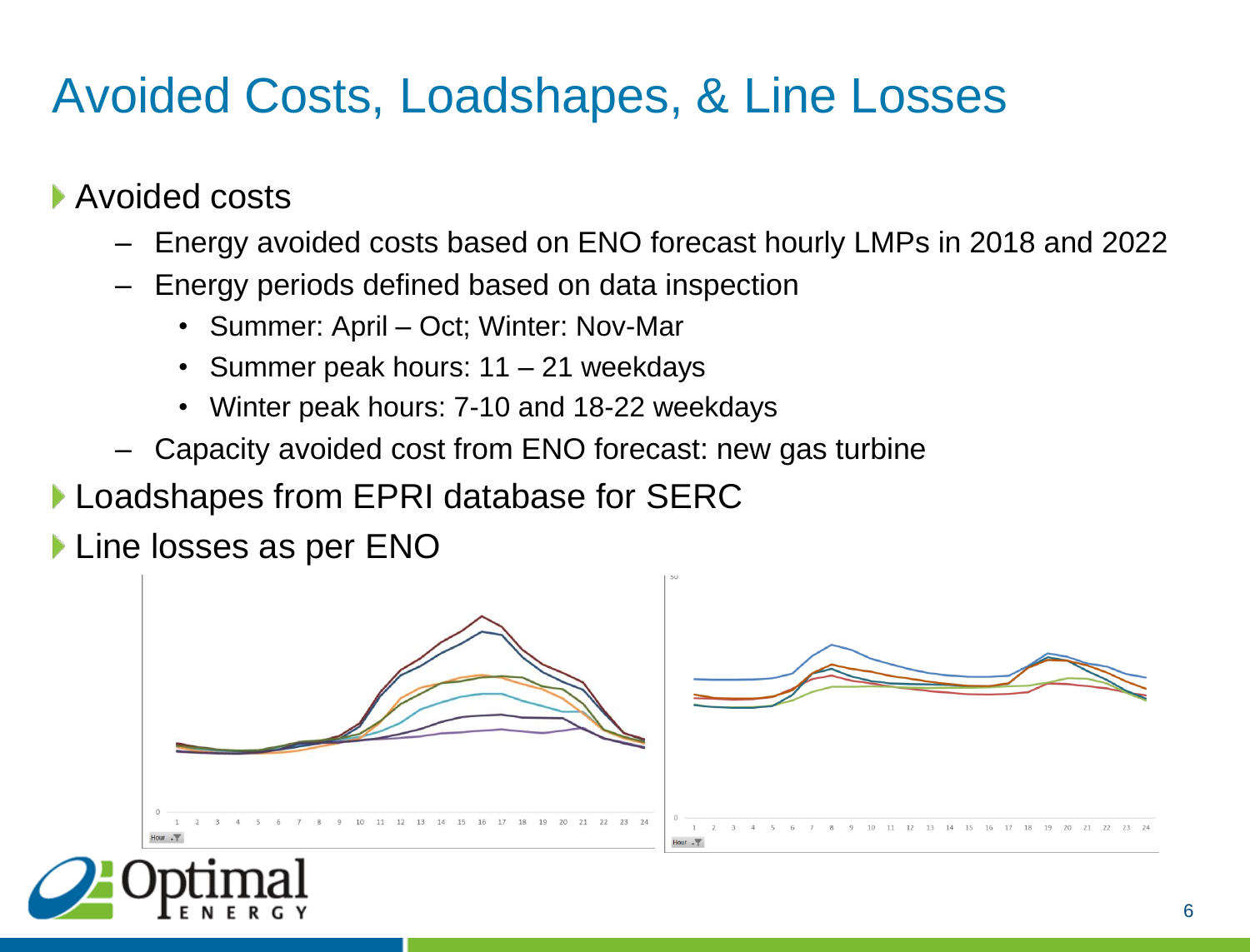## Avoided Costs, Loadshapes, & Line Losses

▶ Avoided costs

- Energy avoided costs based on ENO forecast hourly LMPs in 2018 and 2022
- Energy periods defined based on data inspection
	- Summer: April Oct; Winter: Nov-Mar
	- Summer peak hours: 11 21 weekdays
	- Winter peak hours: 7-10 and 18-22 weekdays
- Capacity avoided cost from ENO forecast: new gas turbine
- Loadshapes from EPRI database for SERC

**Line losses as per ENO** 



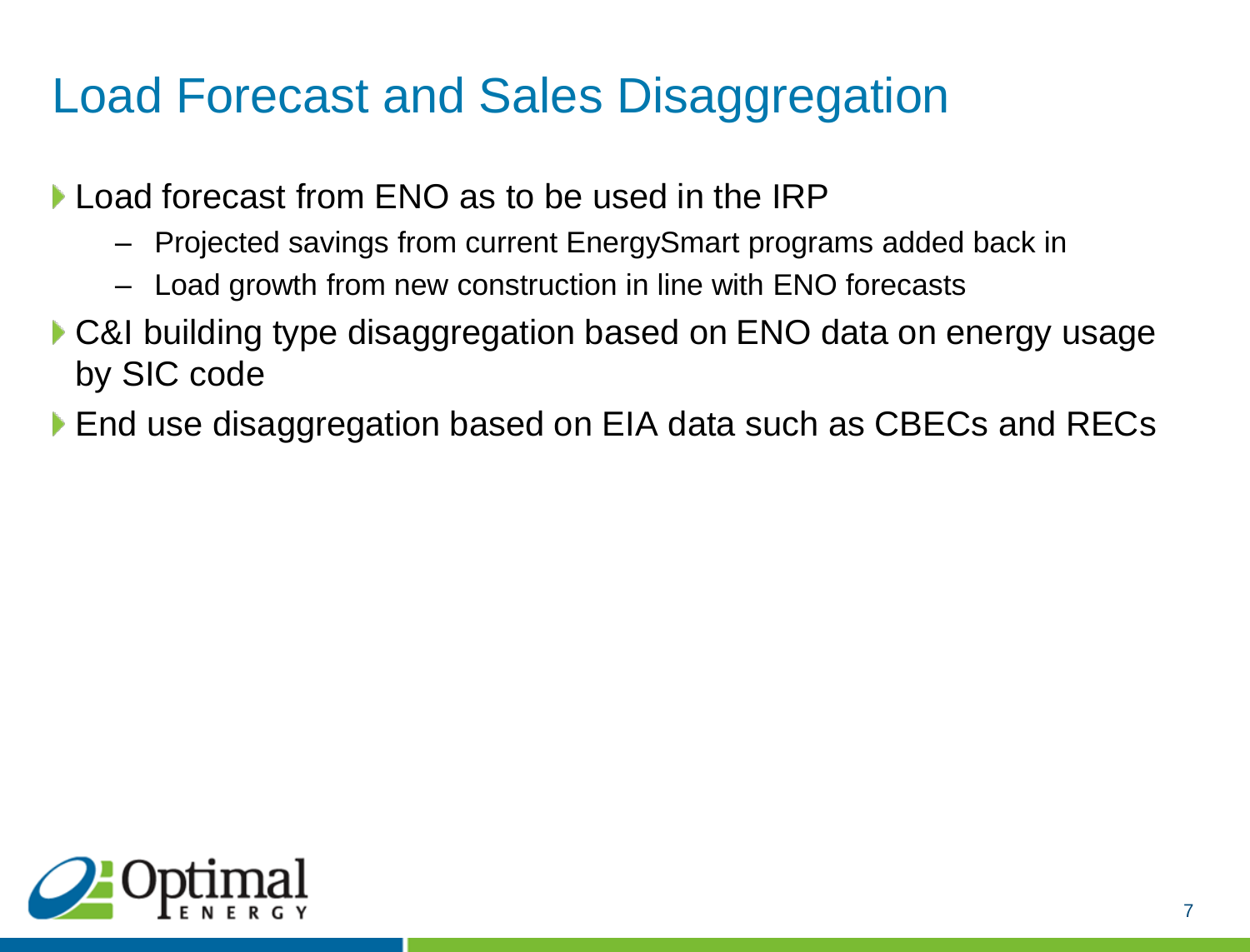# Load Forecast and Sales Disaggregation

- Load forecast from ENO as to be used in the IRP
	- Projected savings from current EnergySmart programs added back in
	- Load growth from new construction in line with ENO forecasts
- ▶ C&I building type disaggregation based on ENO data on energy usage by SIC code
- ▶ End use disaggregation based on EIA data such as CBECs and RECs

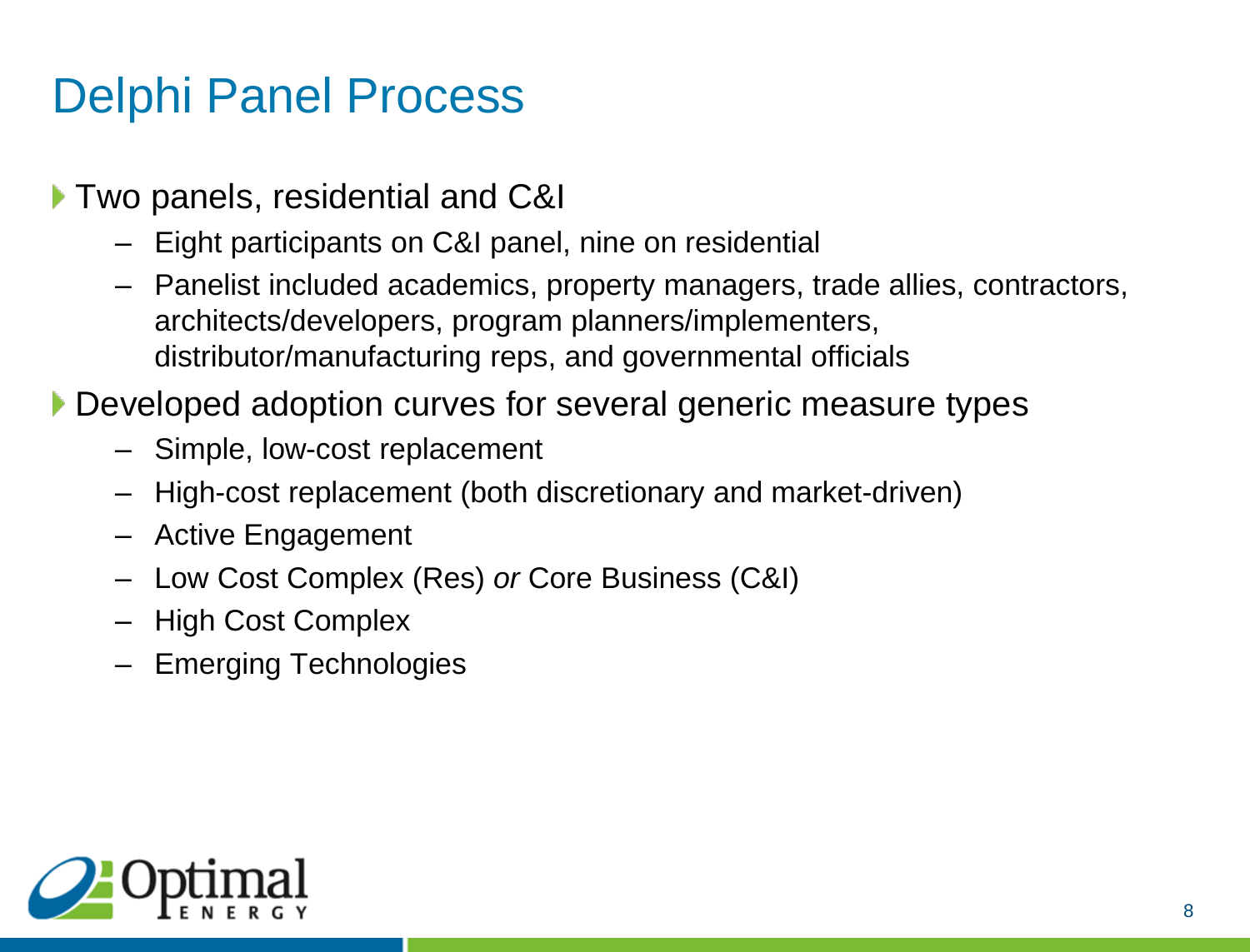## Delphi Panel Process

- ▶ Two panels, residential and C&I
	- Eight participants on C&I panel, nine on residential
	- Panelist included academics, property managers, trade allies, contractors, architects/developers, program planners/implementers, distributor/manufacturing reps, and governmental officials
- Developed adoption curves for several generic measure types
	- Simple, low-cost replacement
	- High-cost replacement (both discretionary and market-driven)
	- Active Engagement
	- Low Cost Complex (Res) *or* Core Business (C&I)
	- High Cost Complex
	- Emerging Technologies

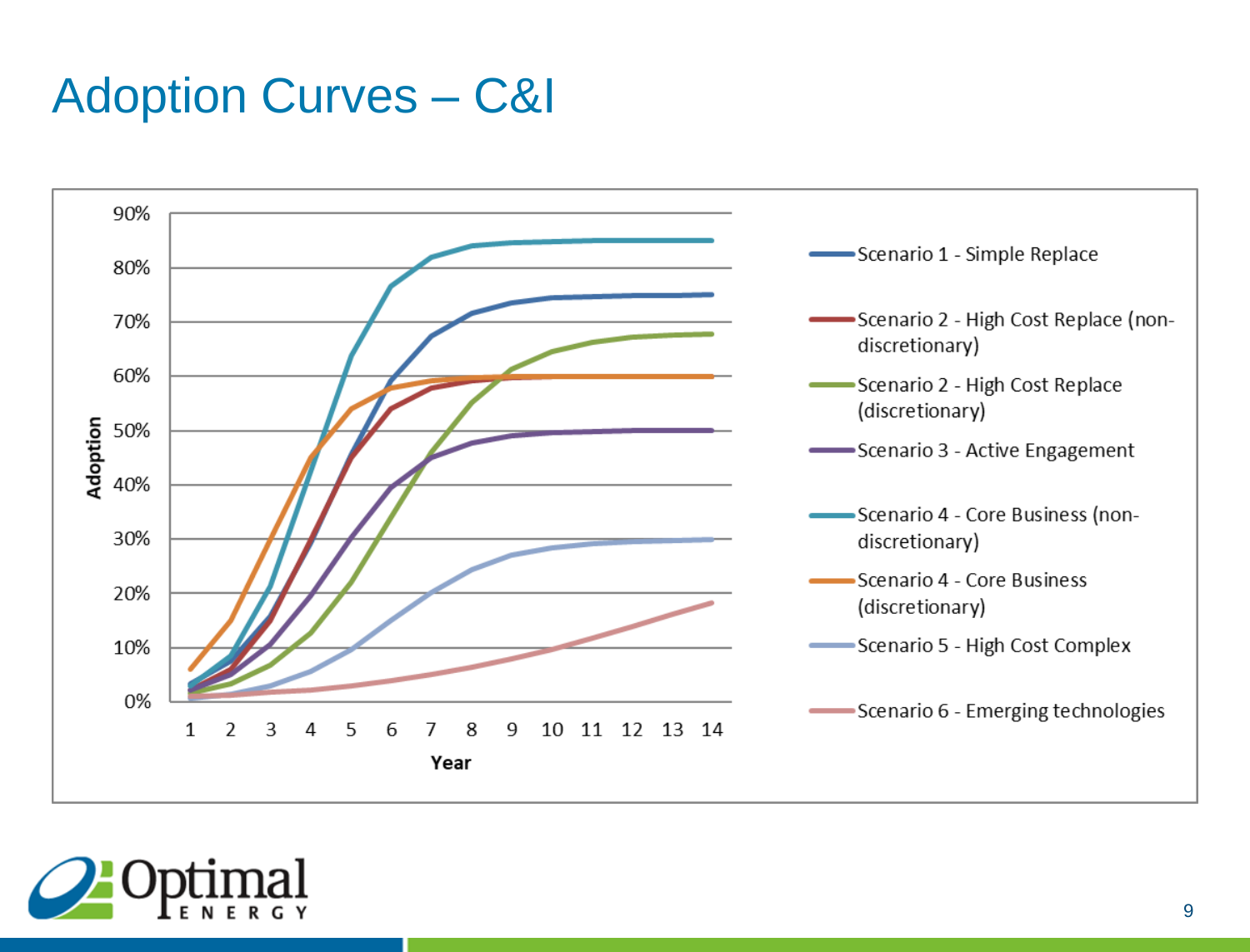#### Adoption Curves – C&I



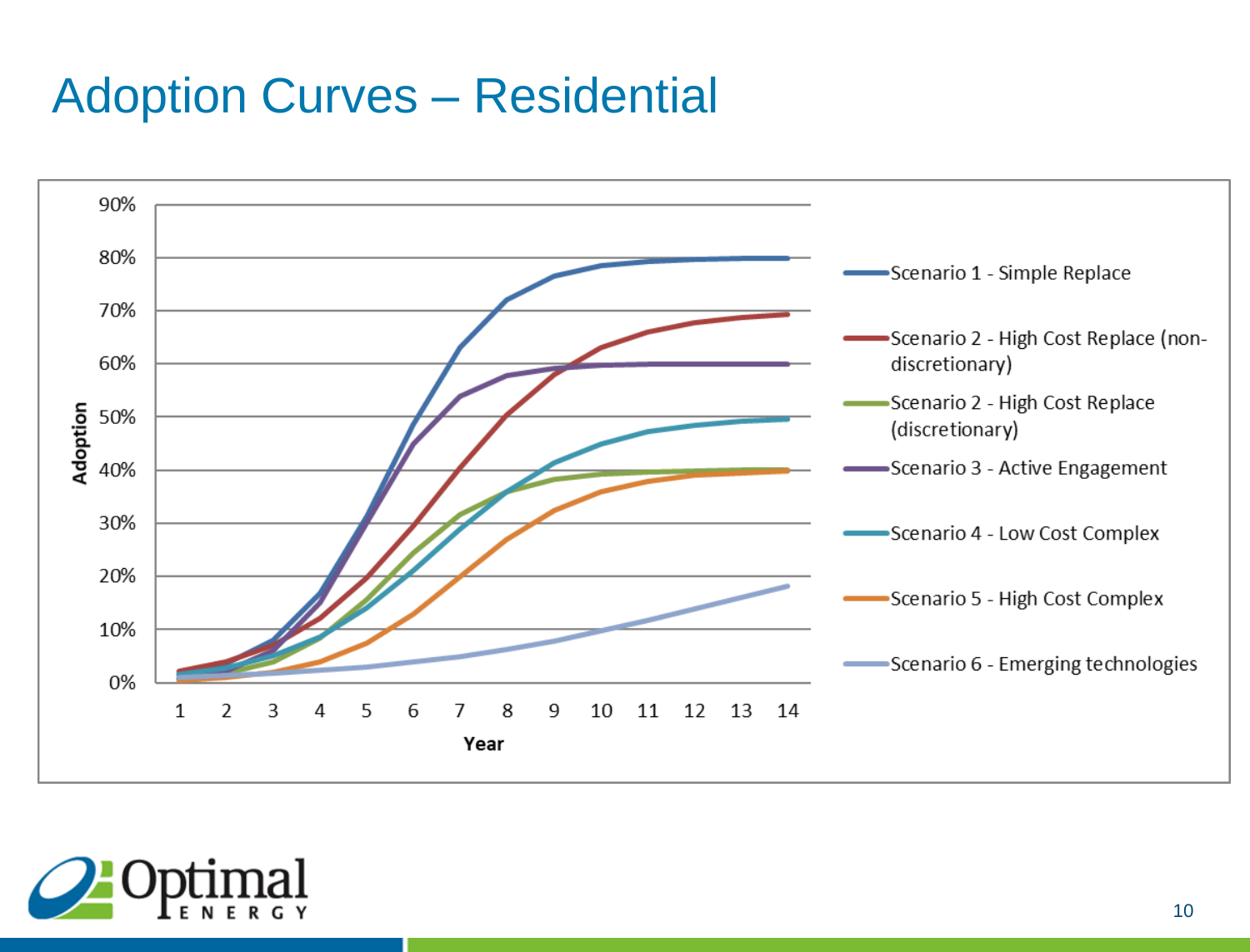#### Adoption Curves – Residential



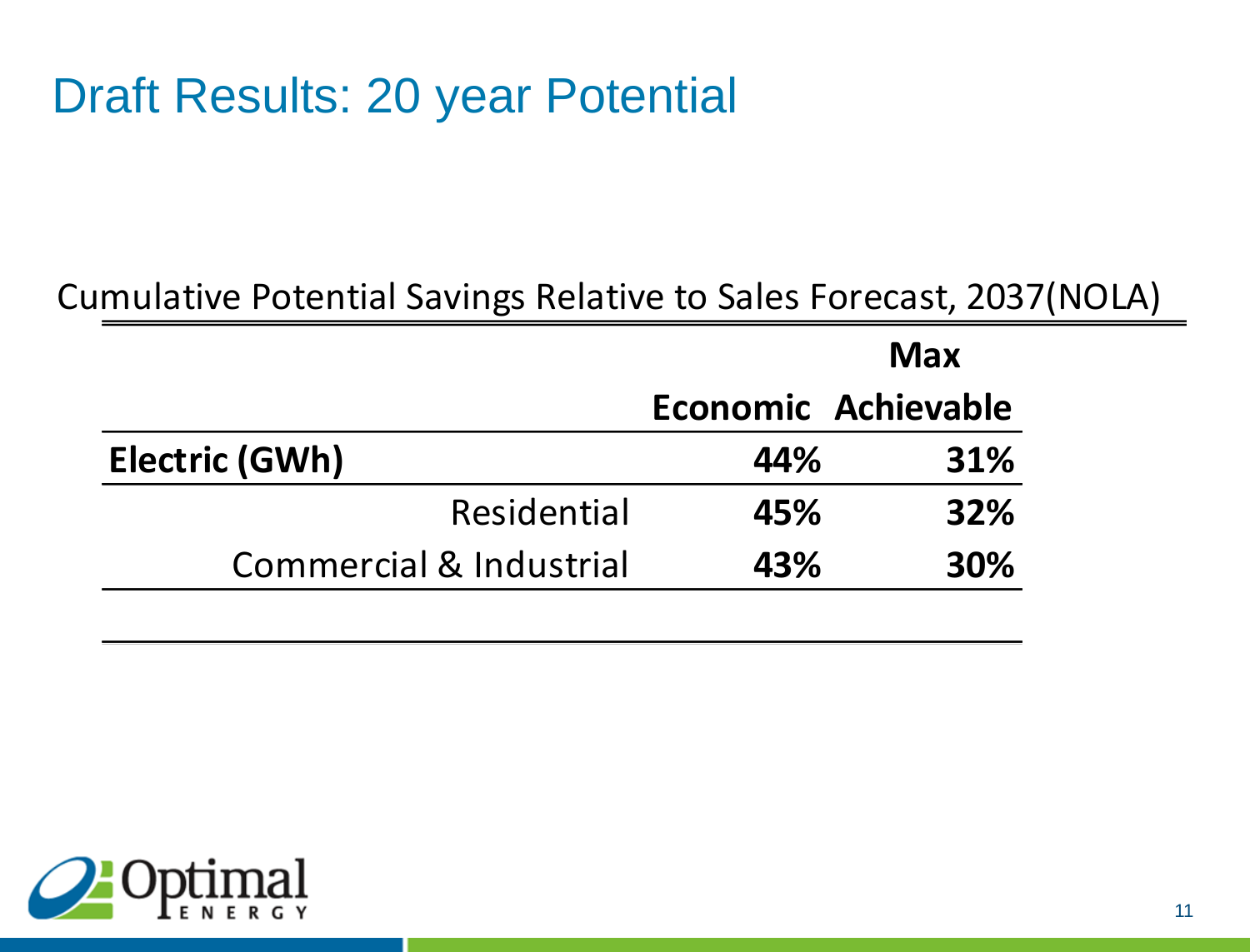## Draft Results: 20 year Potential

#### Cumulative Potential Savings Relative to Sales Forecast, 2037(NOLA)

|                                    | <b>Max</b> |                            |
|------------------------------------|------------|----------------------------|
|                                    |            | <b>Economic Achievable</b> |
| <b>Electric (GWh)</b>              | 44%        | 31%                        |
| Residential                        | 45%        | <b>32%</b>                 |
| <b>Commercial &amp; Industrial</b> | 43%        | <b>30%</b>                 |

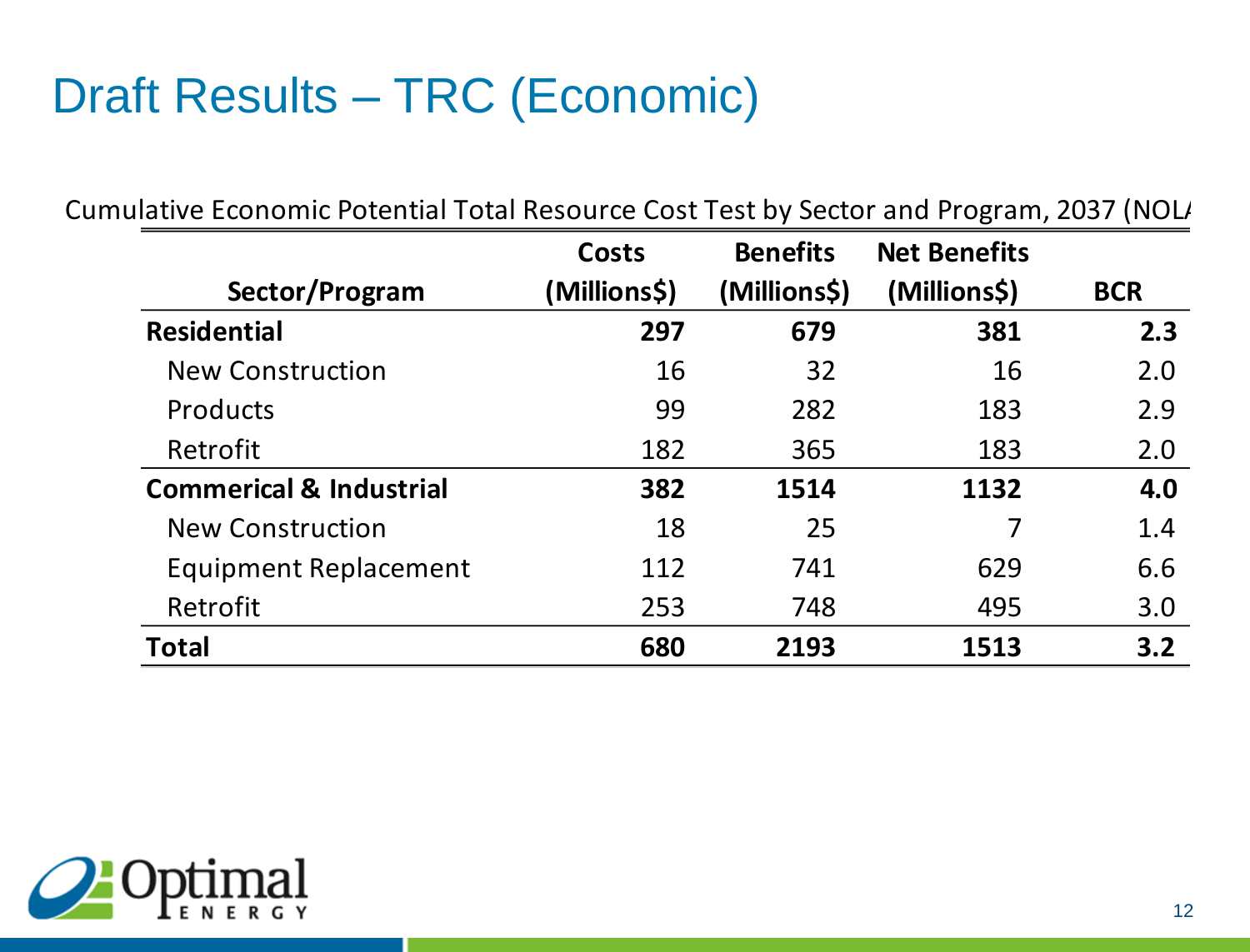# Draft Results – TRC (Economic)

|                                    | <b>Costs</b> | <b>Benefits</b> | <b>Net Benefits</b> |            |
|------------------------------------|--------------|-----------------|---------------------|------------|
| Sector/Program                     | (Millions\$) | (Millions\$)    | (Millions\$)        | <b>BCR</b> |
| <b>Residential</b>                 | 297          | 679             | 381                 | 2.3        |
| <b>New Construction</b>            | 16           | 32              | 16                  | 2.0        |
| <b>Products</b>                    | 99           | 282             | 183                 | 2.9        |
| Retrofit                           | 182          | 365             | 183                 | 2.0        |
| <b>Commerical &amp; Industrial</b> | 382          | 1514            | 1132                | 4.0        |
| <b>New Construction</b>            | 18           | 25              |                     | 1.4        |
| <b>Equipment Replacement</b>       | 112          | 741             | 629                 | 6.6        |
| Retrofit                           | 253          | 748             | 495                 | 3.0        |
| <b>Total</b>                       | 680          | 2193            | 1513                | 3.2        |

Cumulative Economic Potential Total Resource Cost Test by Sector and Program, 2037 (NOL)

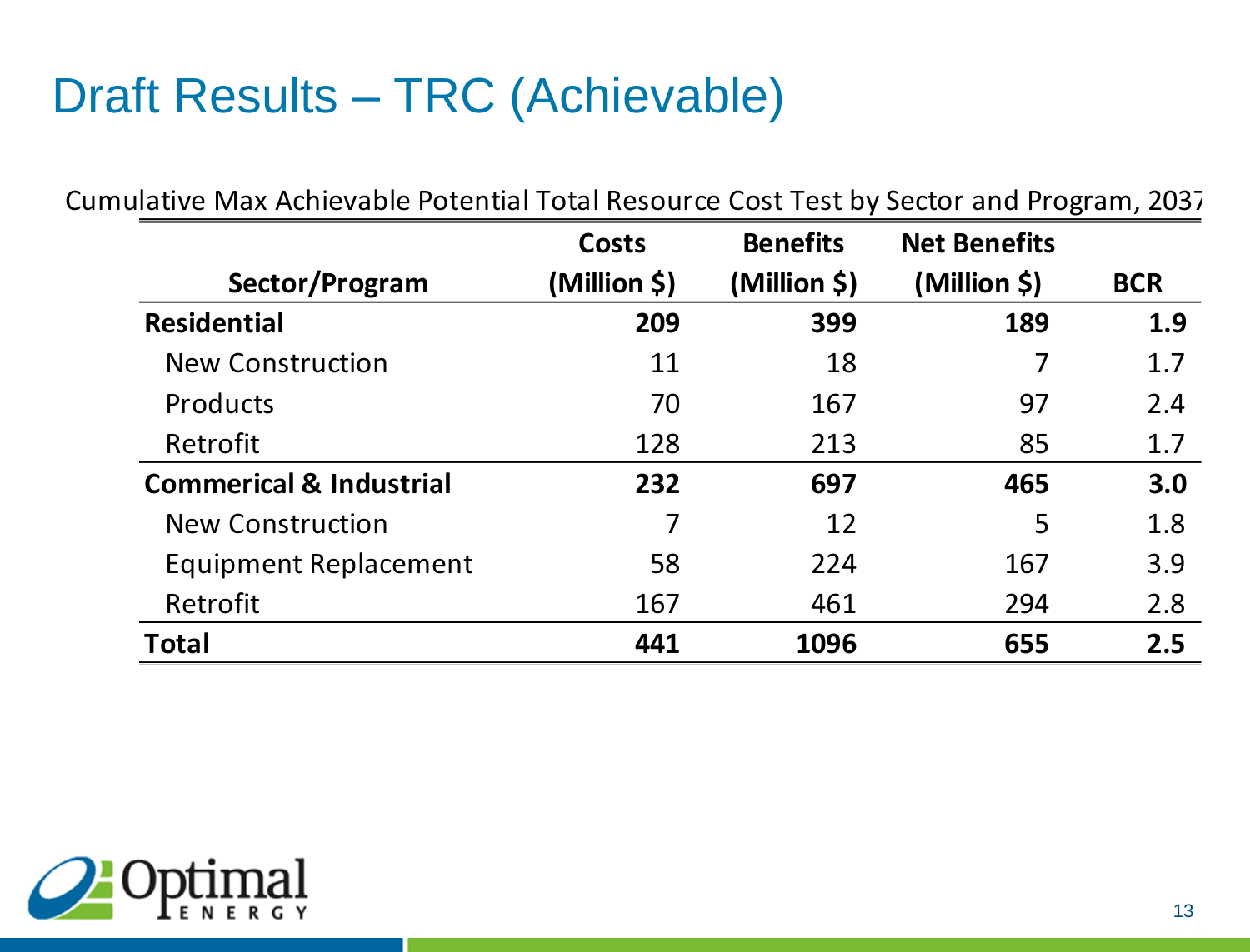# Draft Results – TRC (Achievable)

Cumulative Max Achievable Potential Total Resource Cost Test by Sector and Program, 2037

|                                    | Costs        | <b>Benefits</b> | <b>Net Benefits</b> |            |
|------------------------------------|--------------|-----------------|---------------------|------------|
| Sector/Program                     | (Million \$) | (Million \$)    | (Million \$)        | <b>BCR</b> |
| <b>Residential</b>                 | 209          | 399             | 189                 | 1.9        |
| <b>New Construction</b>            | 11           | 18              | 7                   | 1.7        |
| <b>Products</b>                    | 70           | 167             | 97                  | 2.4        |
| Retrofit                           | 128          | 213             | 85                  | 1.7        |
| <b>Commerical &amp; Industrial</b> | 232          | 697             | 465                 | 3.0        |
| <b>New Construction</b>            | 7            | 12              | 5                   | 1.8        |
| <b>Equipment Replacement</b>       | 58           | 224             | 167                 | 3.9        |
| Retrofit                           | 167          | 461             | 294                 | 2.8        |
| <b>Total</b>                       | 441          | 1096            | 655                 | 2.5        |

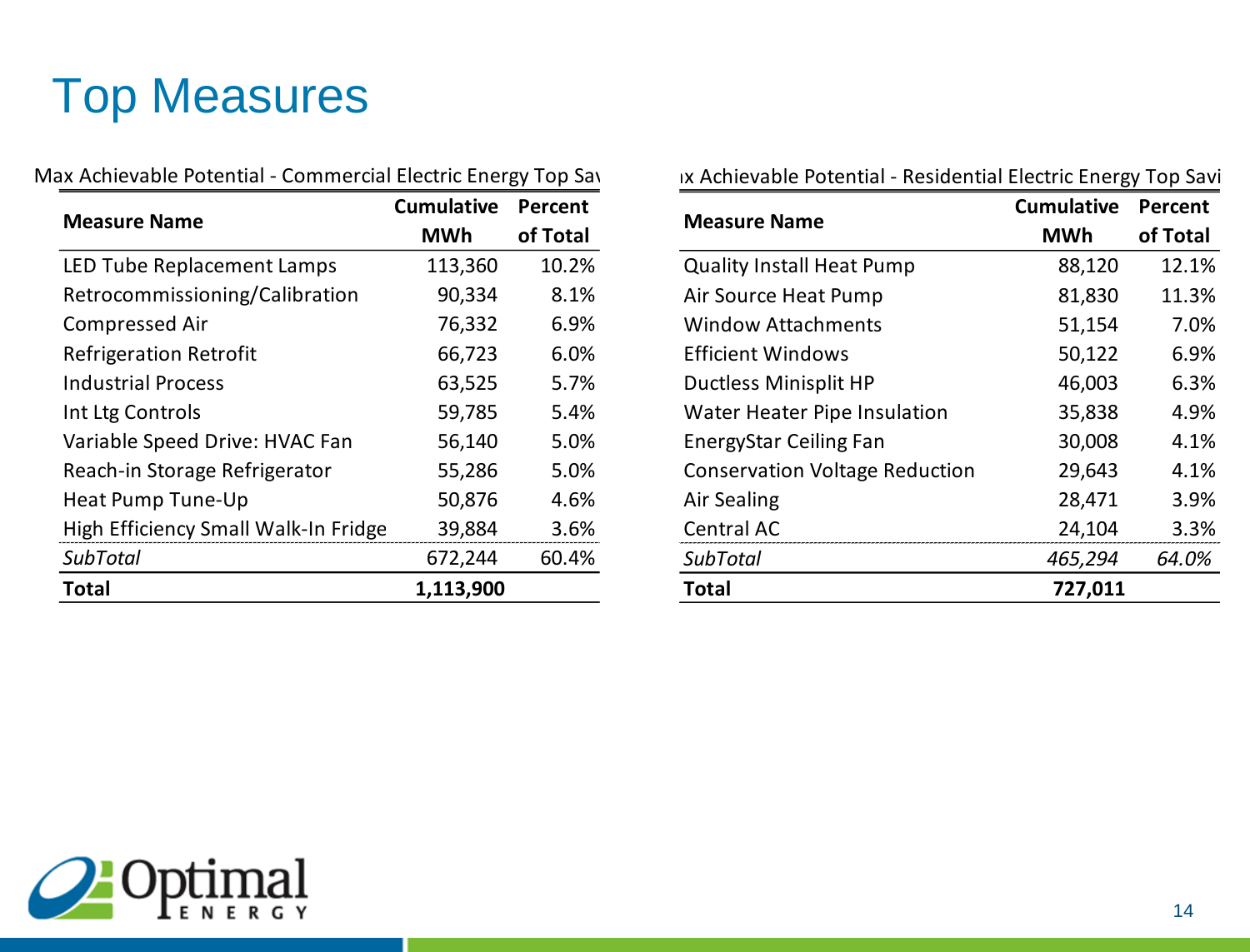# Top Measures

| Max Achievable Potential - Commercial Electric Energy Top Sav |                   |          | <b>IX Achievable Poter</b> |
|---------------------------------------------------------------|-------------------|----------|----------------------------|
|                                                               | <b>Cumulative</b> | Percent  |                            |
| <b>Measure Name</b>                                           | <b>MWh</b>        | of Total | <b>Measure Name</b>        |
| LED Tube Replacement Lamps                                    | 113,360           | 10.2%    | <b>Quality Install Hea</b> |
| Retrocommissioning/Calibration                                | 90,334            | 8.1%     | Air Source Heat Pu         |
| <b>Compressed Air</b>                                         | 76,332            | 6.9%     | <b>Window Attachme</b>     |
| <b>Refrigeration Retrofit</b>                                 | 66,723            | 6.0%     | <b>Efficient Windows</b>   |
| <b>Industrial Process</b>                                     | 63,525            | 5.7%     | <b>Ductless Minisplit</b>  |
| Int Ltg Controls                                              | 59,785            | 5.4%     | <b>Water Heater Pipe</b>   |
| Variable Speed Drive: HVAC Fan                                | 56,140            | 5.0%     | <b>EnergyStar Ceiling</b>  |
| Reach-in Storage Refrigerator                                 | 55,286            | 5.0%     | <b>Conservation Volta</b>  |
| Heat Pump Tune-Up                                             | 50,876            | 4.6%     | Air Sealing                |
| High Efficiency Small Walk-In Fridge                          | 39,884            | 3.6%     | Central AC                 |
| <b>SubTotal</b>                                               | 672,244           | 60.4%    | <b>SubTotal</b>            |
| <b>Total</b>                                                  | 1,113,900         |          | Total                      |
|                                                               |                   |          |                            |

|                                       | <b>Cumulative</b> | Percent  |
|---------------------------------------|-------------------|----------|
| <b>Measure Name</b>                   | <b>MWh</b>        | of Total |
| <b>Quality Install Heat Pump</b>      | 88,120            | 12.1%    |
| Air Source Heat Pump                  | 81,830            | 11.3%    |
| <b>Window Attachments</b>             | 51,154            | 7.0%     |
| <b>Efficient Windows</b>              | 50,122            | 6.9%     |
| <b>Ductless Minisplit HP</b>          | 46,003            | 6.3%     |
| <b>Water Heater Pipe Insulation</b>   | 35,838            | 4.9%     |
| <b>EnergyStar Ceiling Fan</b>         | 30,008            | 4.1%     |
| <b>Conservation Voltage Reduction</b> | 29,643            | 4.1%     |
| Air Sealing                           | 28,471            | 3.9%     |
| <b>Central AC</b>                     | 24,104            | 3.3%     |
| <b>SubTotal</b>                       | 465,294           | 64.0%    |
| Total                                 | 727,011           |          |

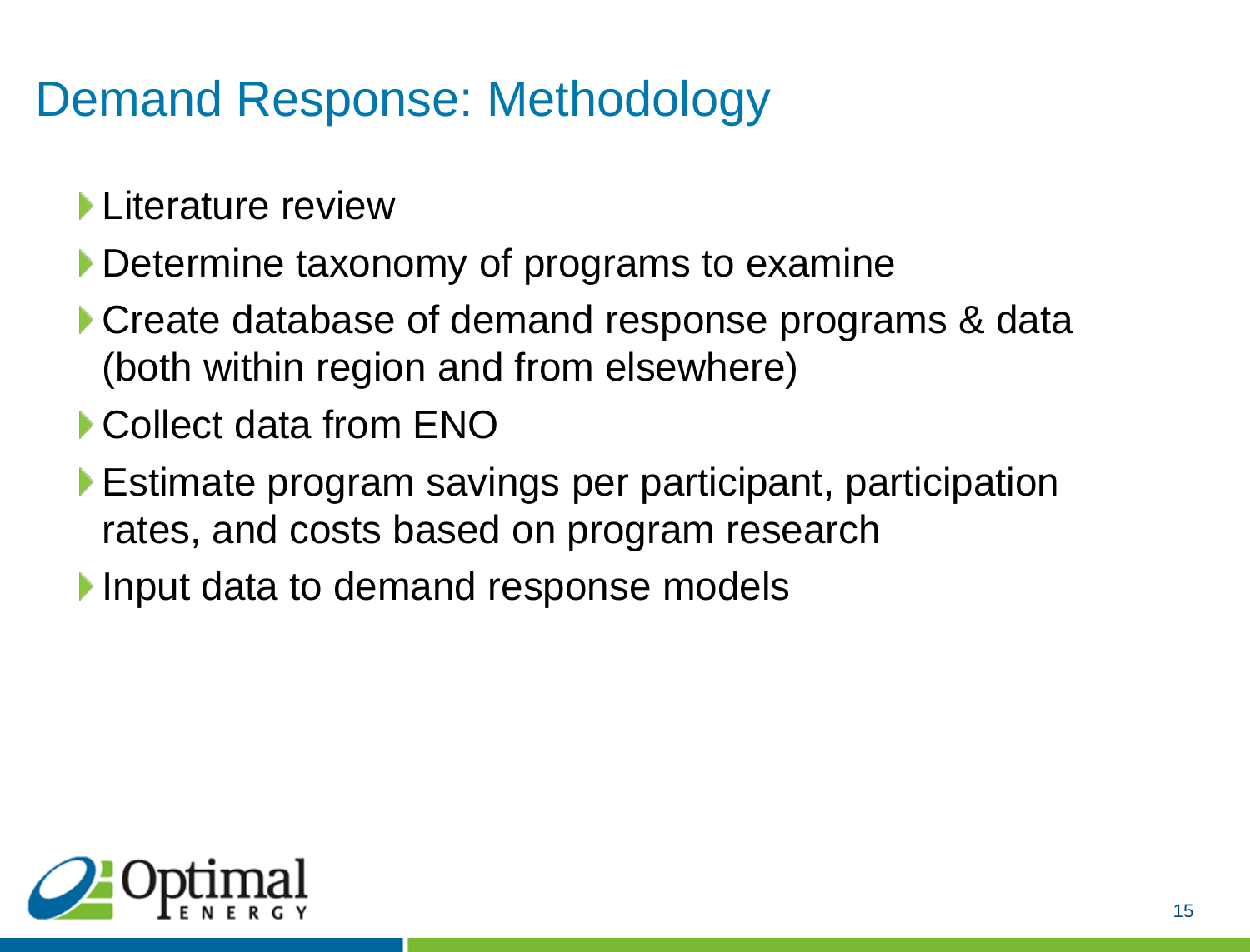#### Demand Response: Methodology

- **Literature review**
- Determine taxonomy of programs to examine
- Create database of demand response programs & data (both within region and from elsewhere)
- ▶ Collect data from ENO
- Estimate program savings per participant, participation rates, and costs based on program research
- Input data to demand response models

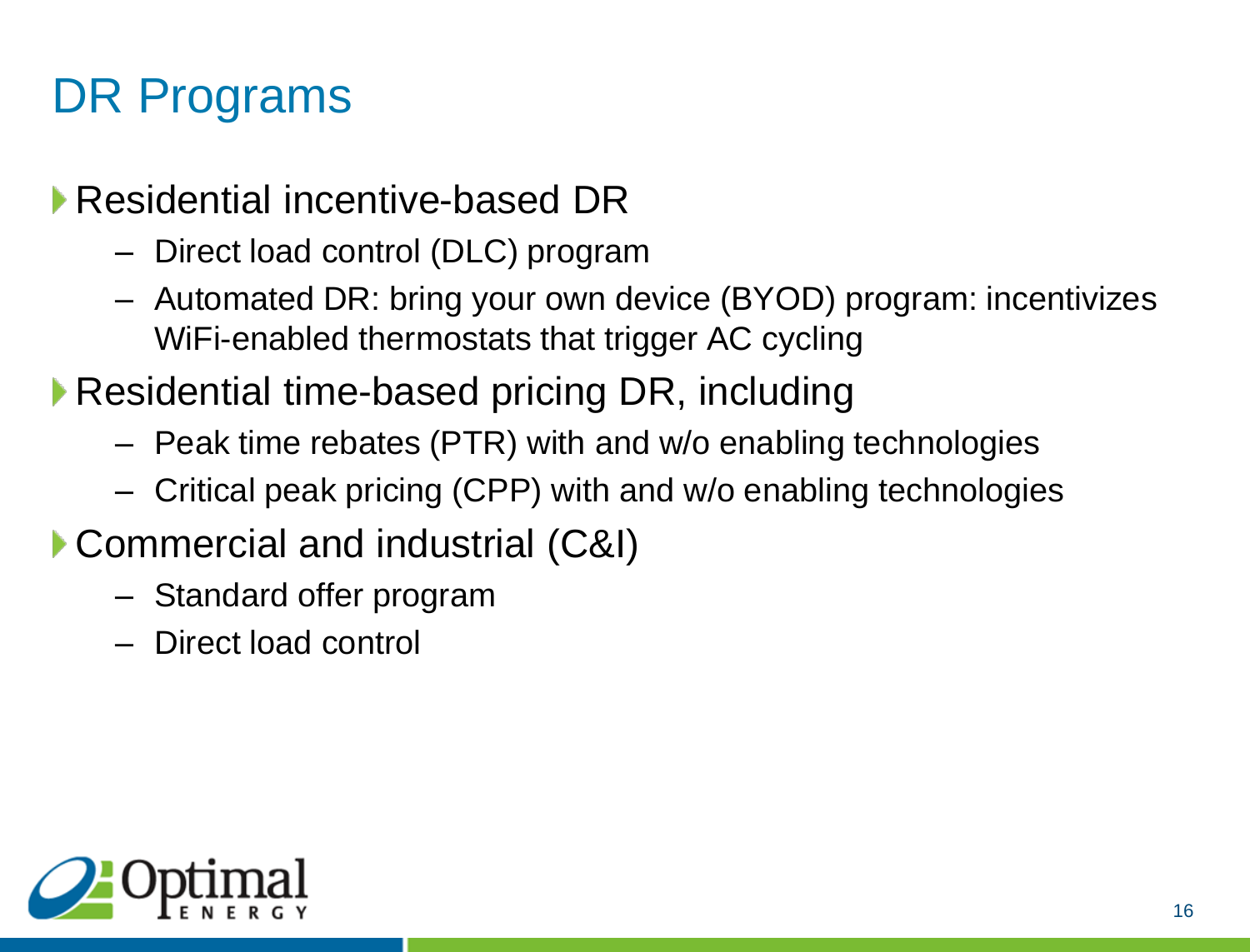# DR Programs

Residential incentive-based DR

- Direct load control (DLC) program
- Automated DR: bring your own device (BYOD) program: incentivizes WiFi-enabled thermostats that trigger AC cycling
- ▶ Residential time-based pricing DR, including
	- Peak time rebates (PTR) with and w/o enabling technologies
	- Critical peak pricing (CPP) with and w/o enabling technologies
- Commercial and industrial (C&I)
	- Standard offer program
	- Direct load control

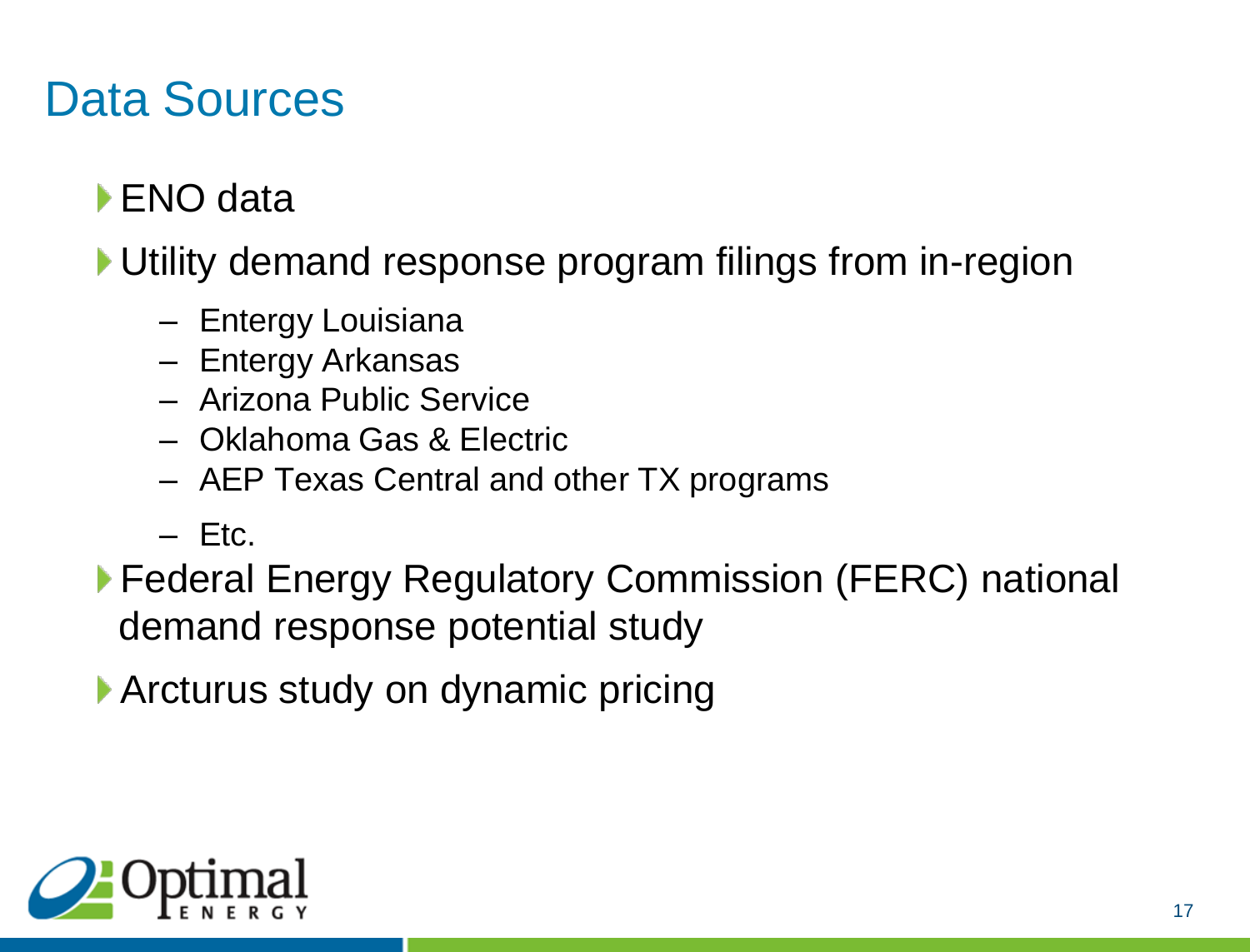#### Data Sources

- ▶ ENO data
- Utility demand response program filings from in-region
	- Entergy Louisiana
	- Entergy Arkansas
	- Arizona Public Service
	- Oklahoma Gas & Electric
	- AEP Texas Central and other TX programs
	- $-$  Etc.
- ▶ Federal Energy Regulatory Commission (FERC) national demand response potential study
- ▶ Arcturus study on dynamic pricing

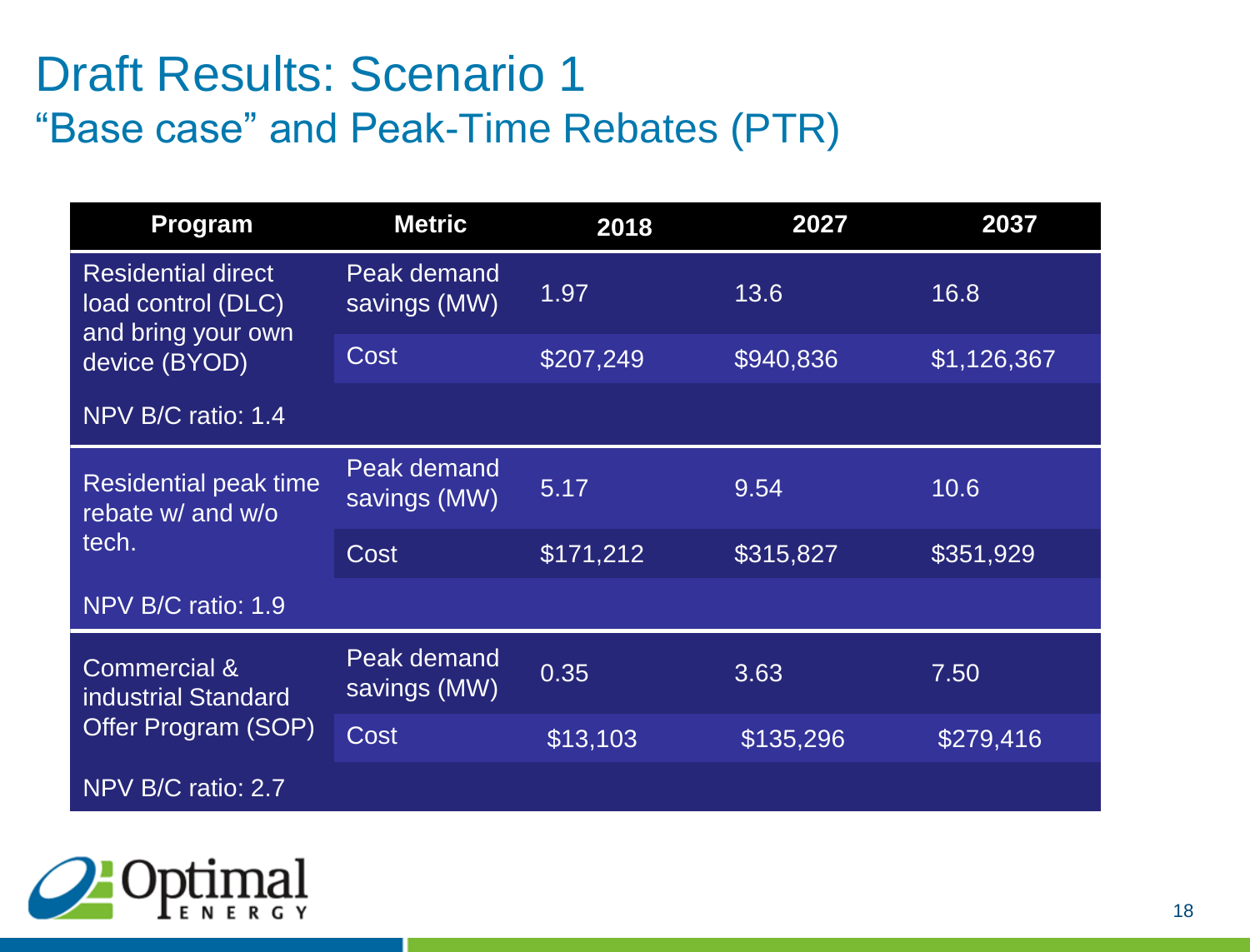#### Draft Results: Scenario 1 "Base case" and Peak-Time Rebates (PTR)

| <b>Program</b>                                                        | <b>Metric</b>               | 2018      | 2027      | 2037        |
|-----------------------------------------------------------------------|-----------------------------|-----------|-----------|-------------|
| <b>Residential direct</b><br>load control (DLC)                       | Peak demand<br>savings (MW) | 1.97      | 13.6      | 16.8        |
| and bring your own<br>device (BYOD)                                   | Cost                        | \$207,249 | \$940,836 | \$1,126,367 |
| NPV B/C ratio: 1.4                                                    |                             |           |           |             |
| <b>Residential peak time</b><br>rebate w/ and w/o<br>tech.            | Peak demand<br>savings (MW) | 5.17      | 9.54      | 10.6        |
|                                                                       | Cost                        | \$171,212 | \$315,827 | \$351,929   |
| NPV B/C ratio: 1.9                                                    |                             |           |           |             |
| <b>Commercial &amp;</b><br>industrial Standard<br>Offer Program (SOP) | Peak demand<br>savings (MW) | 0.35      | 3.63      | 7.50        |
|                                                                       | Cost                        | \$13,103  | \$135,296 | \$279,416   |
| NPV B/C ratio: 2.7                                                    |                             |           |           |             |

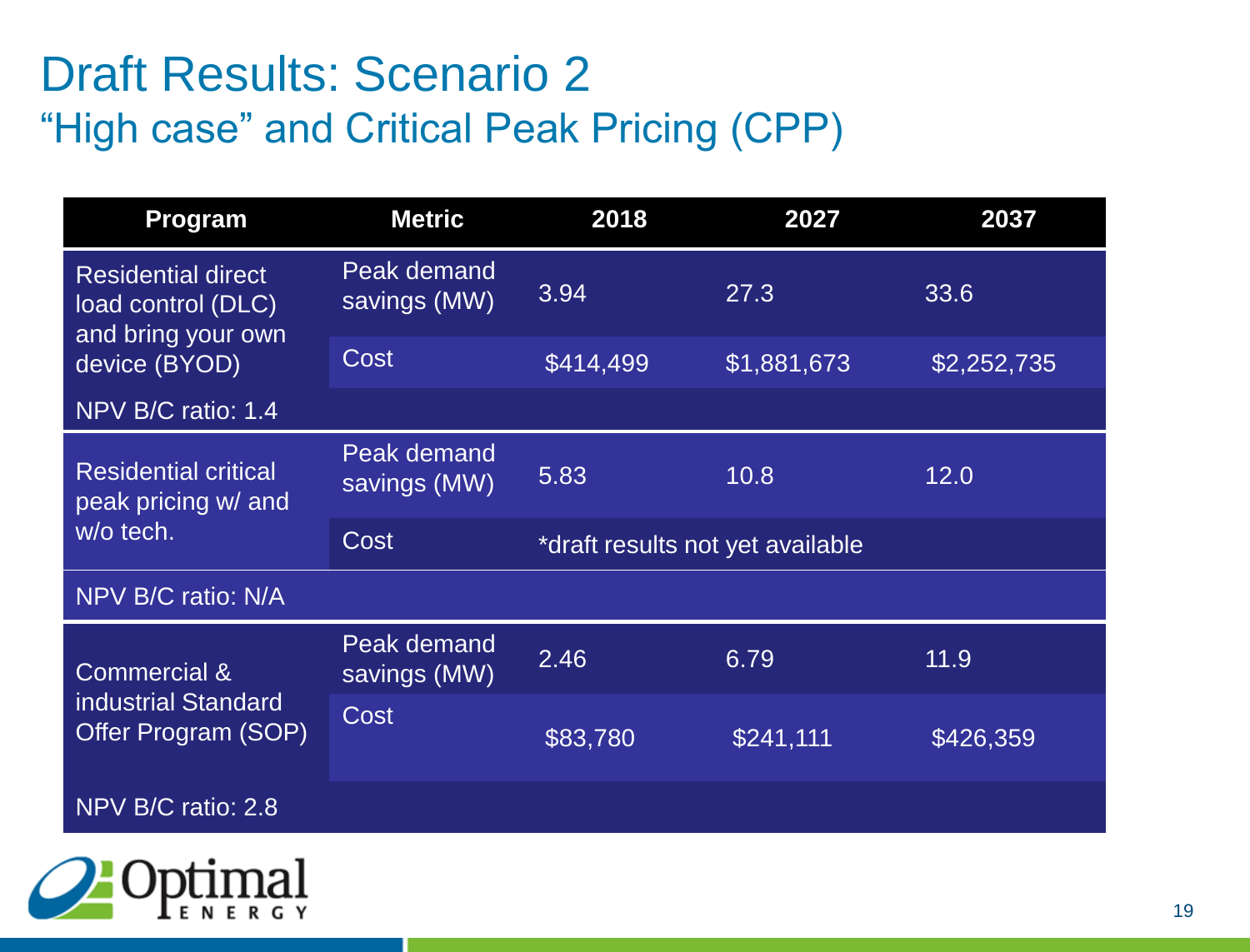#### Draft Results: Scenario 2 "High case" and Critical Peak Pricing (CPP)

| <b>Program</b>                                                        | <b>Metric</b>               | 2018                             | 2027        | 2037        |
|-----------------------------------------------------------------------|-----------------------------|----------------------------------|-------------|-------------|
| <b>Residential direct</b><br>load control (DLC)<br>and bring your own | Peak demand<br>savings (MW) | 3.94                             | 27.3        | 33.6        |
| device (BYOD)                                                         | Cost                        | \$414,499                        | \$1,881,673 | \$2,252,735 |
| NPV B/C ratio: 1.4                                                    |                             |                                  |             |             |
| <b>Residential critical</b><br>peak pricing w/ and<br>w/o tech.       | Peak demand<br>savings (MW) | 5.83                             | 10.8        | 12.0        |
|                                                                       | Cost                        | *draft results not yet available |             |             |
| NPV B/C ratio: N/A                                                    |                             |                                  |             |             |
| <b>Commercial &amp;</b><br>industrial Standard<br>Offer Program (SOP) | Peak demand<br>savings (MW) | 2.46                             | 6.79        | 11.9        |
|                                                                       | <b>Cost</b>                 | \$83,780                         | \$241,111   | \$426,359   |
| NPV B/C ratio: 2.8                                                    |                             |                                  |             |             |

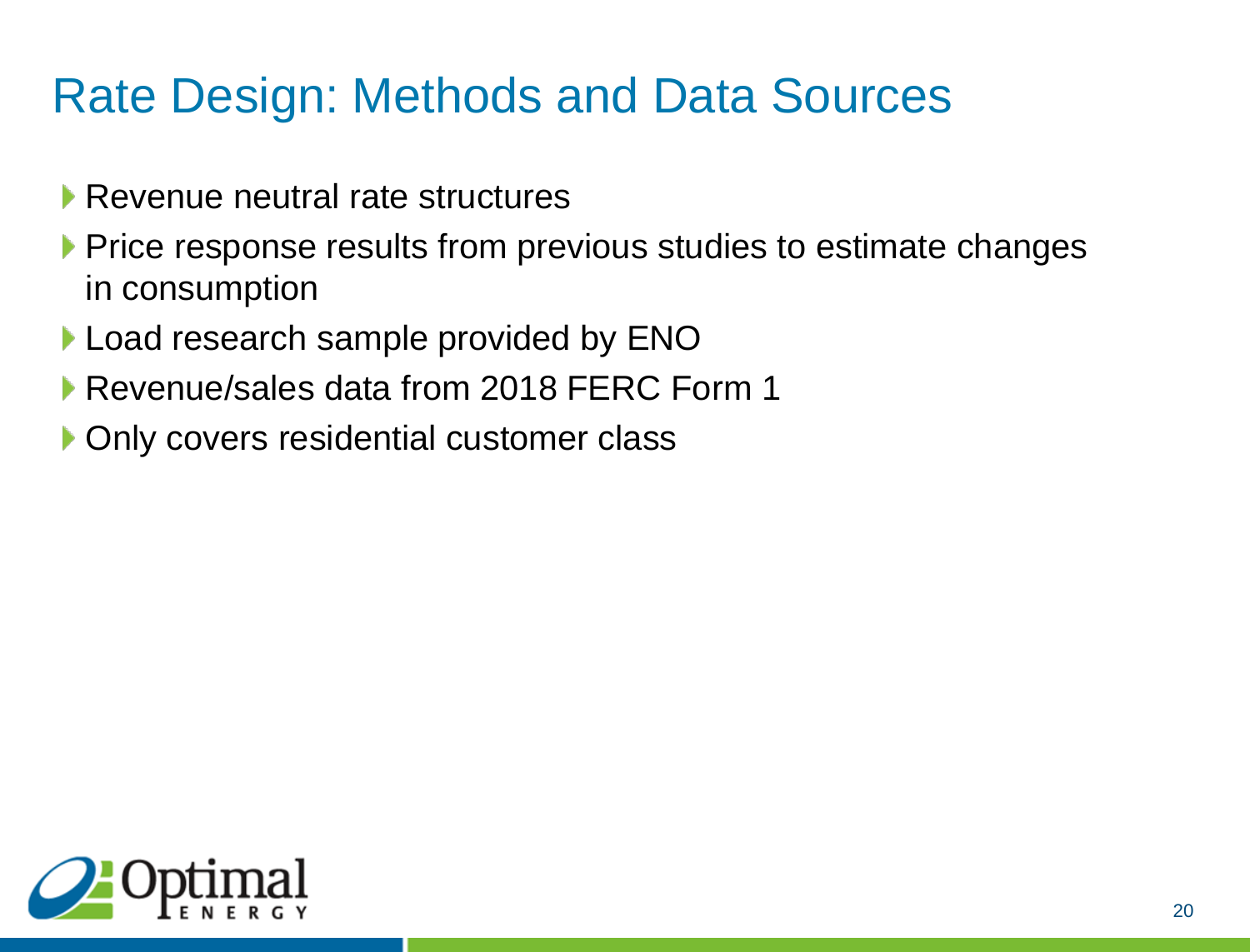## Rate Design: Methods and Data Sources

- Revenue neutral rate structures
- Price response results from previous studies to estimate changes in consumption
- Load research sample provided by ENO
- Revenue/sales data from 2018 FERC Form 1
- **Only covers residential customer class**

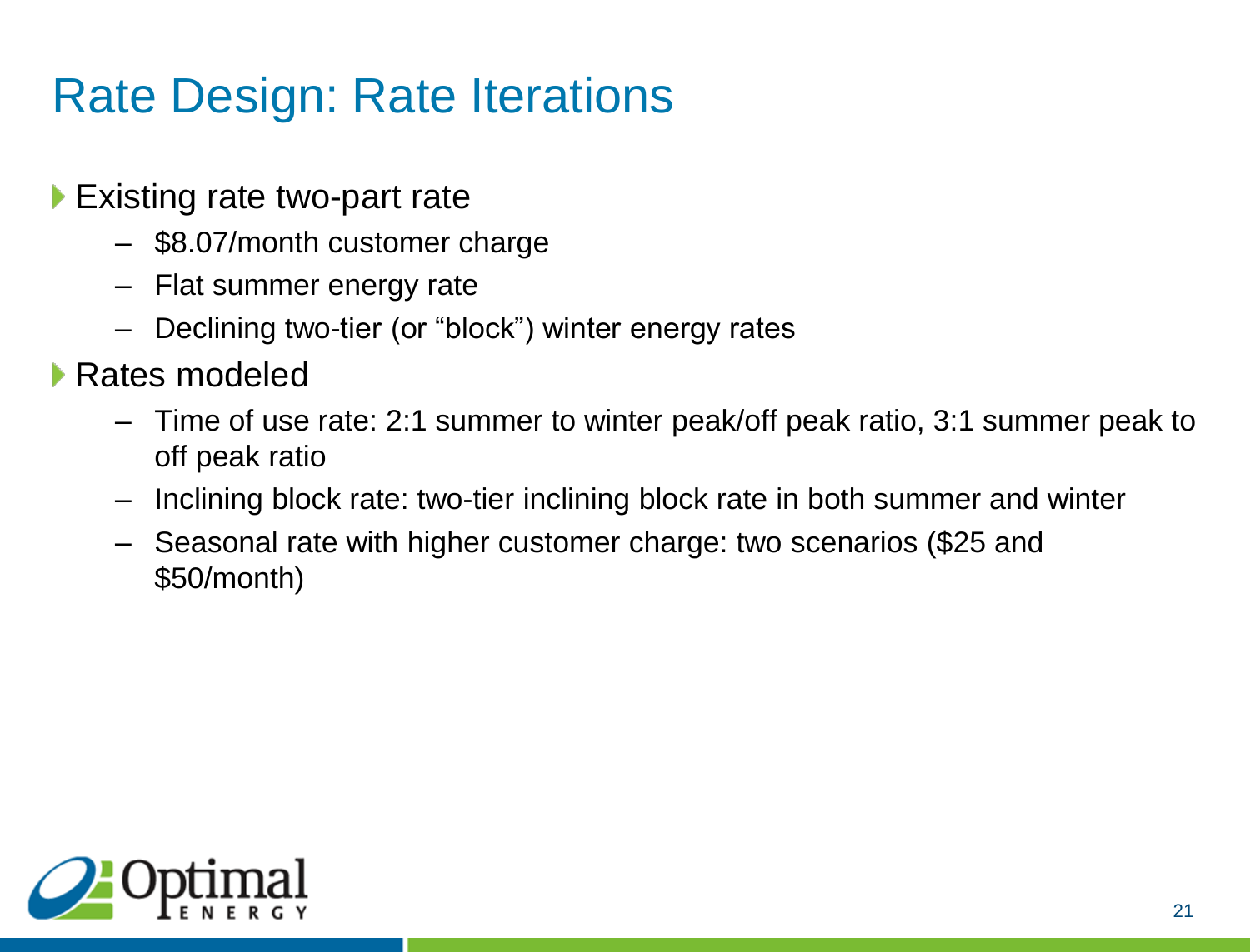# Rate Design: Rate Iterations

- ▶ Existing rate two-part rate
	- \$8.07/month customer charge
	- Flat summer energy rate
	- Declining two-tier (or "block") winter energy rates
- Rates modeled
	- Time of use rate: 2:1 summer to winter peak/off peak ratio, 3:1 summer peak to off peak ratio
	- Inclining block rate: two-tier inclining block rate in both summer and winter
	- Seasonal rate with higher customer charge: two scenarios (\$25 and \$50/month)

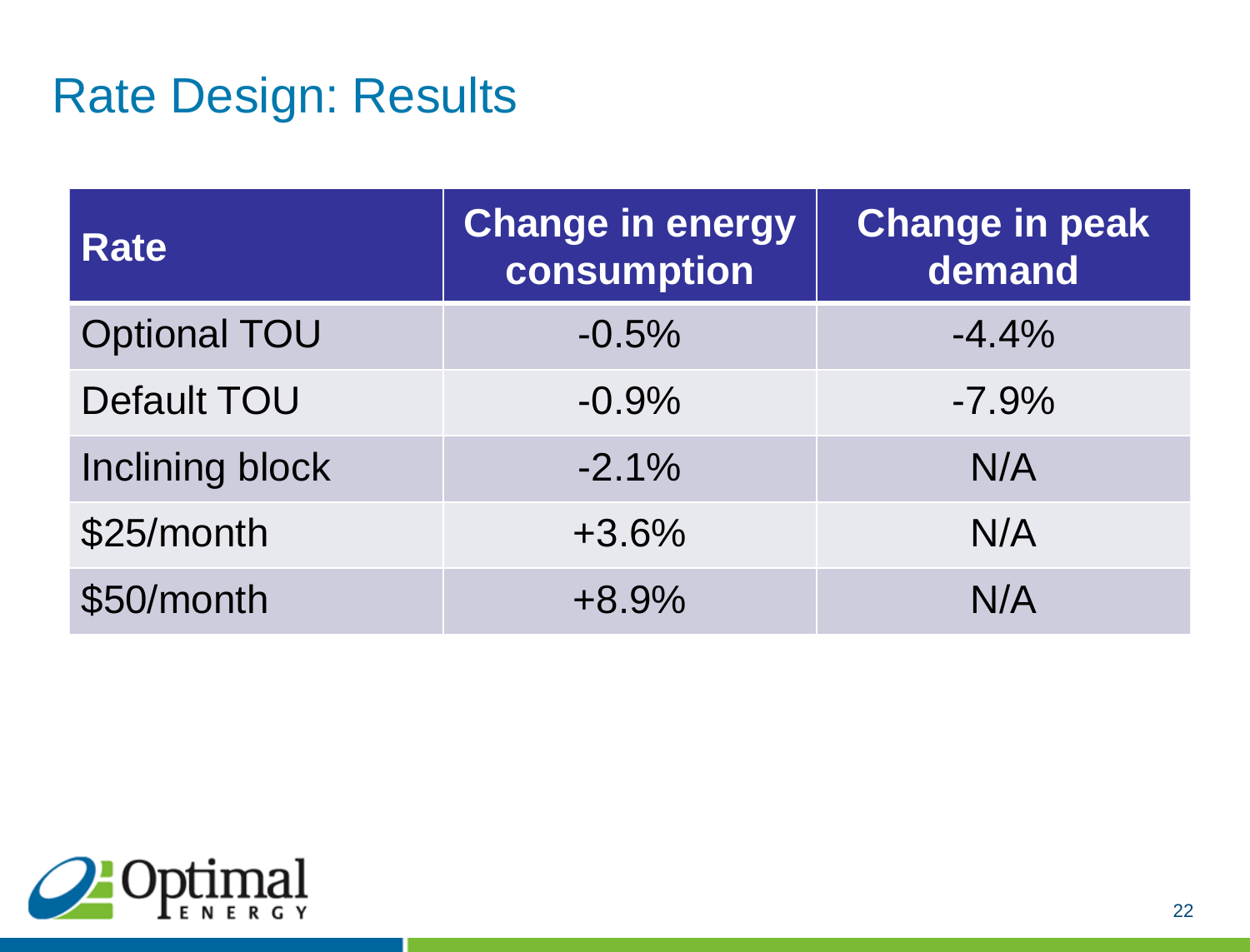## Rate Design: Results

| <b>Rate</b>         | Change in energy<br>consumption | <b>Change in peak</b><br>demand |
|---------------------|---------------------------------|---------------------------------|
| <b>Optional TOU</b> | $-0.5%$                         | $-4.4%$                         |
| <b>Default TOU</b>  | $-0.9%$                         | $-7.9%$                         |
| Inclining block     | $-2.1%$                         | N/A                             |
| \$25/month          | $+3.6%$                         | N/A                             |
| \$50/month          | $+8.9%$                         | N/A                             |

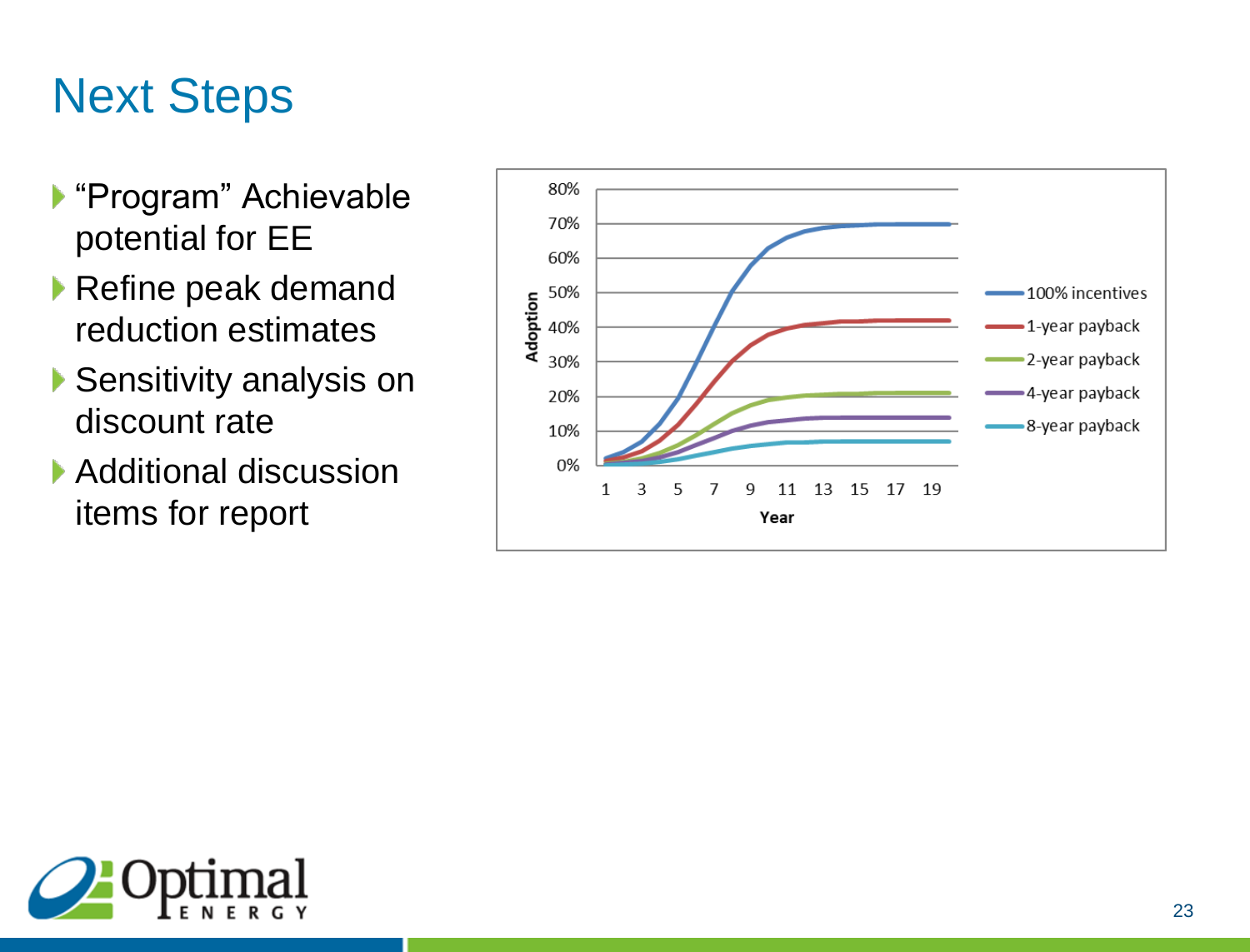# Next Steps

- ▶ "Program" Achievable potential for EE
- ▶ Refine peak demand reduction estimates
- ▶ Sensitivity analysis on discount rate
- ▶ Additional discussion items for report



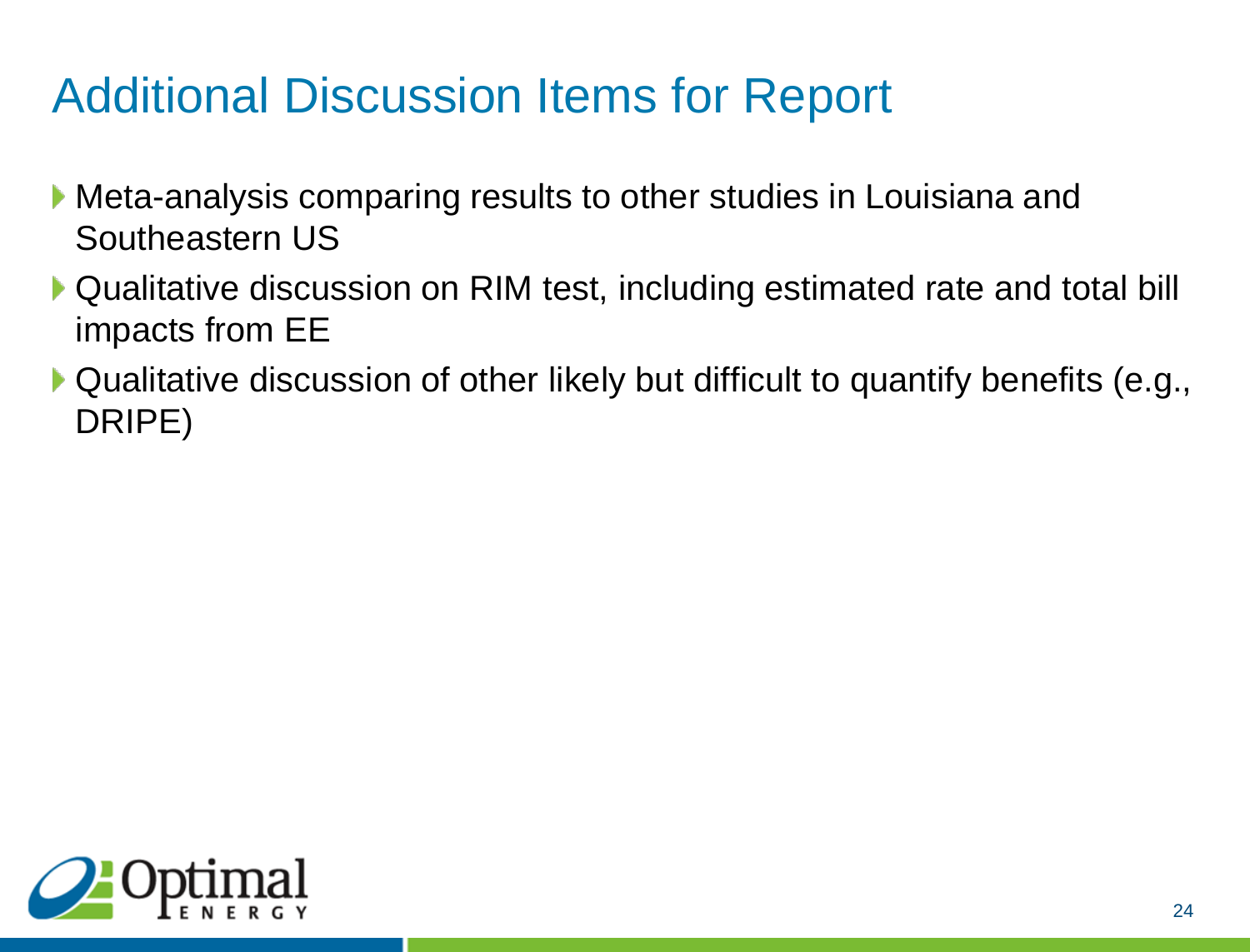# Additional Discussion Items for Report

- Meta-analysis comparing results to other studies in Louisiana and Southeastern US
- ▶ Qualitative discussion on RIM test, including estimated rate and total bill impacts from EE
- ▶ Qualitative discussion of other likely but difficult to quantify benefits (e.g., DRIPE)